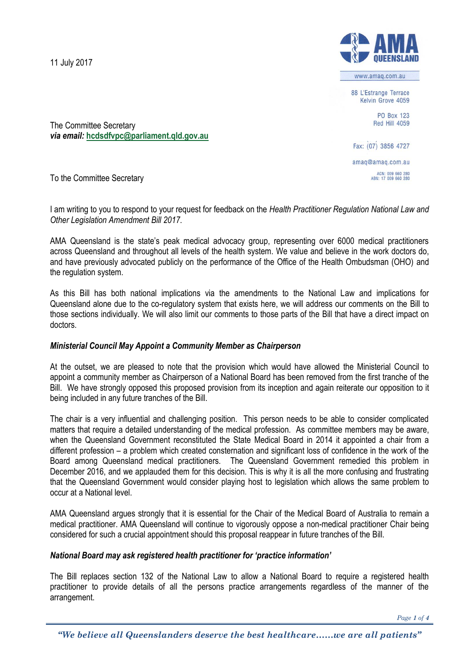11 July 2017



www.amag.com.au

88 L'Estrange Terrace Kelvin Grove 4059

> PO Box 123 **Red Hill 4059**

Fax: (07) 3856 4727 amaq@amaq.com.au ACN: 009 660 280<br>ABN: 17 009 660 280

The Committee Secretary *via email:* **[hcdsdfvpc@parliament.qld.gov.au](mailto:hcdsdfvpc@parliament.qld.gov.au)**

To the Committee Secretary

I am writing to you to respond to your request for feedback on the *Health Practitioner Regulation National Law and Other Legislation Amendment Bill 2017*.

AMA Queensland is the state's peak medical advocacy group, representing over 6000 medical practitioners across Queensland and throughout all levels of the health system. We value and believe in the work doctors do, and have previously advocated publicly on the performance of the Office of the Health Ombudsman (OHO) and the regulation system.

As this Bill has both national implications via the amendments to the National Law and implications for Queensland alone due to the co-regulatory system that exists here, we will address our comments on the Bill to those sections individually. We will also limit our comments to those parts of the Bill that have a direct impact on doctors.

## *Ministerial Council May Appoint a Community Member as Chairperson*

At the outset, we are pleased to note that the provision which would have allowed the Ministerial Council to appoint a community member as Chairperson of a National Board has been removed from the first tranche of the Bill. We have strongly opposed this proposed provision from its inception and again reiterate our opposition to it being included in any future tranches of the Bill.

The chair is a very influential and challenging position. This person needs to be able to consider complicated matters that require a detailed understanding of the medical profession. As committee members may be aware, when the Queensland Government reconstituted the State Medical Board in 2014 it appointed a chair from a different profession – a problem which created consternation and significant loss of confidence in the work of the Board among Queensland medical practitioners. The Queensland Government remedied this problem in December 2016, and we applauded them for this decision. This is why it is all the more confusing and frustrating that the Queensland Government would consider playing host to legislation which allows the same problem to occur at a National level.

AMA Queensland argues strongly that it is essential for the Chair of the Medical Board of Australia to remain a medical practitioner. AMA Queensland will continue to vigorously oppose a non-medical practitioner Chair being considered for such a crucial appointment should this proposal reappear in future tranches of the Bill.

### *National Board may ask registered health practitioner for 'practice information'*

The Bill replaces section 132 of the National Law to allow a National Board to require a registered health practitioner to provide details of all the persons practice arrangements regardless of the manner of the arrangement.

*Page 1 of 4*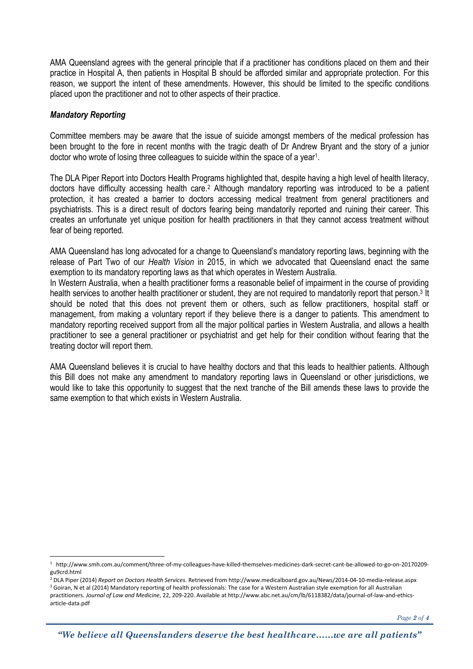AMA Queensland agrees with the general principle that if a practitioner has conditions placed on them and their practice in Hospital A, then patients in Hospital B should be afforded similar and appropriate protection. For this reason, we support the intent of these amendments. However, this should be limited to the specific conditions placed upon the practitioner and not to other aspects of their practice.

## *Mandatory Reporting*

-

Committee members may be aware that the issue of suicide amongst members of the medical profession has been brought to the fore in recent months with the tragic death of Dr Andrew Bryant and the story of a junior doctor who wrote of losing three colleagues to suicide within the space of a year<sup>1</sup>.

The DLA Piper Report into Doctors Health Programs highlighted that, despite having a high level of health literacy, doctors have difficulty accessing health care.<sup>2</sup> Although mandatory reporting was introduced to be a patient protection, it has created a barrier to doctors accessing medical treatment from general practitioners and psychiatrists. This is a direct result of doctors fearing being mandatorily reported and ruining their career. This creates an unfortunate yet unique position for health practitioners in that they cannot access treatment without fear of being reported.

AMA Queensland has long advocated for a change to Queensland's mandatory reporting laws, beginning with the release of Part Two of our *Health Vision* in 2015, in which we advocated that Queensland enact the same exemption to its mandatory reporting laws as that which operates in Western Australia.

In Western Australia, when a health practitioner forms a reasonable belief of impairment in the course of providing health services to another health practitioner or student, they are not required to mandatorily report that person.<sup>3</sup> It should be noted that this does not prevent them or others, such as fellow practitioners, hospital staff or management, from making a voluntary report if they believe there is a danger to patients. This amendment to mandatory reporting received support from all the major political parties in Western Australia, and allows a health practitioner to see a general practitioner or psychiatrist and get help for their condition without fearing that the treating doctor will report them.

AMA Queensland believes it is crucial to have healthy doctors and that this leads to healthier patients. Although this Bill does not make any amendment to mandatory reporting laws in Queensland or other jurisdictions, we would like to take this opportunity to suggest that the next tranche of the Bill amends these laws to provide the same exemption to that which exists in Western Australia.

<sup>1</sup> http://www.smh.com.au/comment/three-of-my-colleagues-have-killed-themselves-medicines-dark-secret-cant-be-allowed-to-go-on-20170209 gu9crd.html

<sup>2</sup> DLA Piper (2014) *Report on Doctors Health Services*. Retrieved from http://www.medicalboard.gov.au/News/2014-04-10-media-release.aspx <sup>3</sup> Goiran, N et al (2014) Mandatory reporting of health professionals: The case for a Western Australian style exemption for all Australian practitioners. *Journal of Law and Medicine*, 22, 209-220. Available at http://www.abc.net.au/cm/lb/6118382/data/journal-of-law-and-ethicsarticle-data.pdf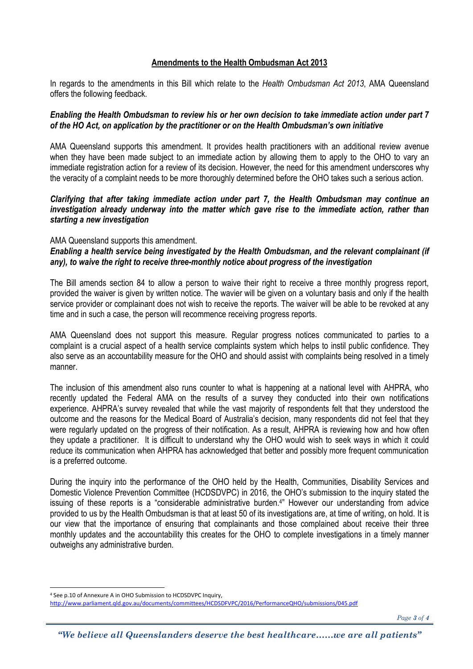## **Amendments to the Health Ombudsman Act 2013**

In regards to the amendments in this Bill which relate to the *Health Ombudsman Act 2013*, AMA Queensland offers the following feedback.

# *Enabling the Health Ombudsman to review his or her own decision to take immediate action under part 7 of the HO Act, on application by the practitioner or on the Health Ombudsman's own initiative*

AMA Queensland supports this amendment. It provides health practitioners with an additional review avenue when they have been made subject to an immediate action by allowing them to apply to the OHO to vary an immediate registration action for a review of its decision. However, the need for this amendment underscores why the veracity of a complaint needs to be more thoroughly determined before the OHO takes such a serious action.

## *Clarifying that after taking immediate action under part 7, the Health Ombudsman may continue an investigation already underway into the matter which gave rise to the immediate action, rather than starting a new investigation*

### AMA Queensland supports this amendment.

 $\overline{a}$ 

*Enabling a health service being investigated by the Health Ombudsman, and the relevant complainant (if any), to waive the right to receive three-monthly notice about progress of the investigation*

The Bill amends section 84 to allow a person to waive their right to receive a three monthly progress report, provided the waiver is given by written notice. The wavier will be given on a voluntary basis and only if the health service provider or complainant does not wish to receive the reports. The waiver will be able to be revoked at any time and in such a case, the person will recommence receiving progress reports.

AMA Queensland does not support this measure. Regular progress notices communicated to parties to a complaint is a crucial aspect of a health service complaints system which helps to instil public confidence. They also serve as an accountability measure for the OHO and should assist with complaints being resolved in a timely manner.

The inclusion of this amendment also runs counter to what is happening at a national level with AHPRA, who recently updated the Federal AMA on the results of a survey they conducted into their own notifications experience. AHPRA's survey revealed that while the vast majority of respondents felt that they understood the outcome and the reasons for the Medical Board of Australia's decision, many respondents did not feel that they were regularly updated on the progress of their notification. As a result, AHPRA is reviewing how and how often they update a practitioner. It is difficult to understand why the OHO would wish to seek ways in which it could reduce its communication when AHPRA has acknowledged that better and possibly more frequent communication is a preferred outcome.

During the inquiry into the performance of the OHO held by the Health, Communities, Disability Services and Domestic Violence Prevention Committee (HCDSDVPC) in 2016, the OHO's submission to the inquiry stated the issuing of these reports is a "considerable administrative burden. 4 " However our understanding from advice provided to us by the Health Ombudsman is that at least 50 of its investigations are, at time of writing, on hold. It is our view that the importance of ensuring that complainants and those complained about receive their three monthly updates and the accountability this creates for the OHO to complete investigations in a timely manner outweighs any administrative burden.

*Page 3 of 4*

<sup>4</sup> See p.10 of Annexure A in OHO Submission to HCDSDVPC Inquiry, <http://www.parliament.qld.gov.au/documents/committees/HCDSDFVPC/2016/PerformanceQHO/submissions/045.pdf>